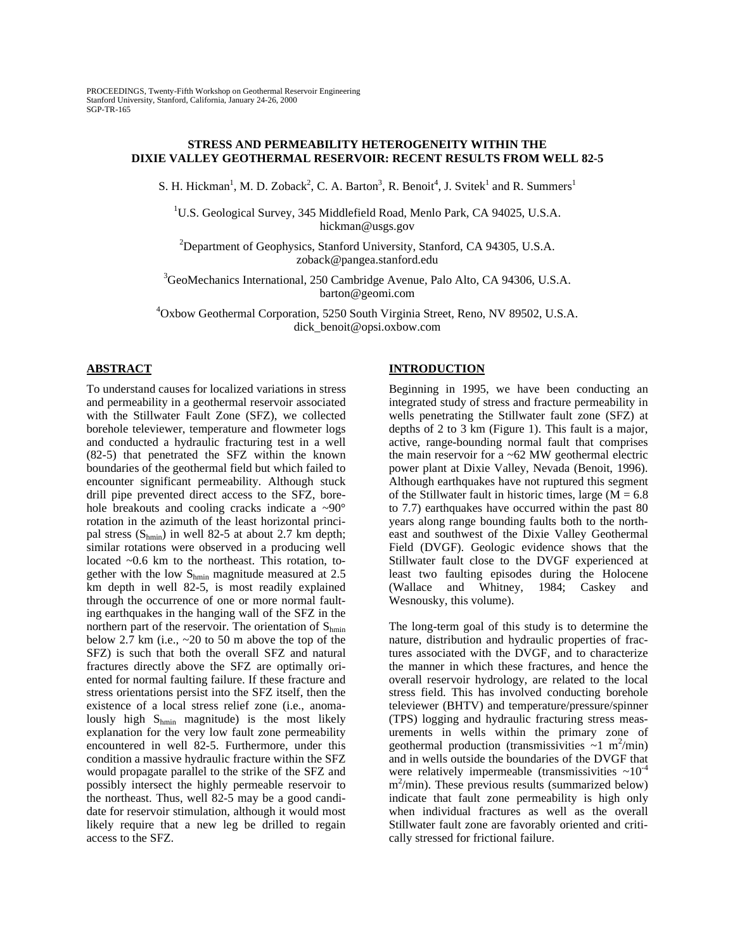# **STRESS AND PERMEABILITY HETEROGENEITY WITHIN THE DIXIE VALLEY GEOTHERMAL RESERVOIR: RECENT RESULTS FROM WELL 82-5**

S. H. Hickman<sup>1</sup>, M. D. Zoback<sup>2</sup>, C. A. Barton<sup>3</sup>, R. Benoit<sup>4</sup>, J. Svitek<sup>1</sup> and R. Summers<sup>1</sup>

<sup>1</sup>U.S. Geological Survey, 345 Middlefield Road, Menlo Park, CA 94025, U.S.A. hickman@usgs.gov

<sup>2</sup>Department of Geophysics, Stanford University, Stanford, CA 94305, U.S.A. zoback@pangea.stanford.edu

<sup>3</sup>GeoMechanics International, 250 Cambridge Avenue, Palo Alto, CA 94306, U.S.A. barton@geomi.com

4 Oxbow Geothermal Corporation, 5250 South Virginia Street, Reno, NV 89502, U.S.A. dick\_benoit@opsi.oxbow.com

# **ABSTRACT**

To understand causes for localized variations in stress and permeability in a geothermal reservoir associated with the Stillwater Fault Zone (SFZ), we collected borehole televiewer, temperature and flowmeter logs and conducted a hydraulic fracturing test in a well (82-5) that penetrated the SFZ within the known boundaries of the geothermal field but which failed to encounter significant permeability. Although stuck drill pipe prevented direct access to the SFZ, borehole breakouts and cooling cracks indicate a ~90° rotation in the azimuth of the least horizontal principal stress  $(S_{\text{hmin}})$  in well 82-5 at about 2.7 km depth; similar rotations were observed in a producing well located ~0.6 km to the northeast. This rotation, together with the low Shmin magnitude measured at 2.5 km depth in well 82-5, is most readily explained through the occurrence of one or more normal faulting earthquakes in the hanging wall of the SFZ in the northern part of the reservoir. The orientation of  $S_{\text{hmin}}$ below 2.7 km (i.e., ~20 to 50 m above the top of the SFZ) is such that both the overall SFZ and natural fractures directly above the SFZ are optimally oriented for normal faulting failure. If these fracture and stress orientations persist into the SFZ itself, then the existence of a local stress relief zone (i.e., anomalously high  $S_{hmin}$  magnitude) is the most likely explanation for the very low fault zone permeability encountered in well 82-5. Furthermore, under this condition a massive hydraulic fracture within the SFZ would propagate parallel to the strike of the SFZ and possibly intersect the highly permeable reservoir to the northeast. Thus, well 82-5 may be a good candidate for reservoir stimulation, although it would most likely require that a new leg be drilled to regain access to the SFZ.

# **INTRODUCTION**

Beginning in 1995, we have been conducting an integrated study of stress and fracture permeability in wells penetrating the Stillwater fault zone (SFZ) at depths of 2 to 3 km (Figure 1). This fault is a major, active, range-bounding normal fault that comprises the main reservoir for a  $~62$  MW geothermal electric power plant at Dixie Valley, Nevada (Benoit, 1996). Although earthquakes have not ruptured this segment of the Stillwater fault in historic times, large  $(M = 6.8)$ to 7.7) earthquakes have occurred within the past 80 years along range bounding faults both to the northeast and southwest of the Dixie Valley Geothermal Field (DVGF). Geologic evidence shows that the Stillwater fault close to the DVGF experienced at least two faulting episodes during the Holocene (Wallace and Whitney, 1984; Caskey and Wesnousky, this volume).

The long-term goal of this study is to determine the nature, distribution and hydraulic properties of fractures associated with the DVGF, and to characterize the manner in which these fractures, and hence the overall reservoir hydrology, are related to the local stress field. This has involved conducting borehole televiewer (BHTV) and temperature/pressure/spinner (TPS) logging and hydraulic fracturing stress measurements in wells within the primary zone of geothermal production (transmissivities  $\sim$ 1 m<sup>2</sup>/min) and in wells outside the boundaries of the DVGF that were relatively impermeable (transmissivities  $\sim 10^{-4}$ ) m2 /min). These previous results (summarized below) indicate that fault zone permeability is high only when individual fractures as well as the overall Stillwater fault zone are favorably oriented and critically stressed for frictional failure.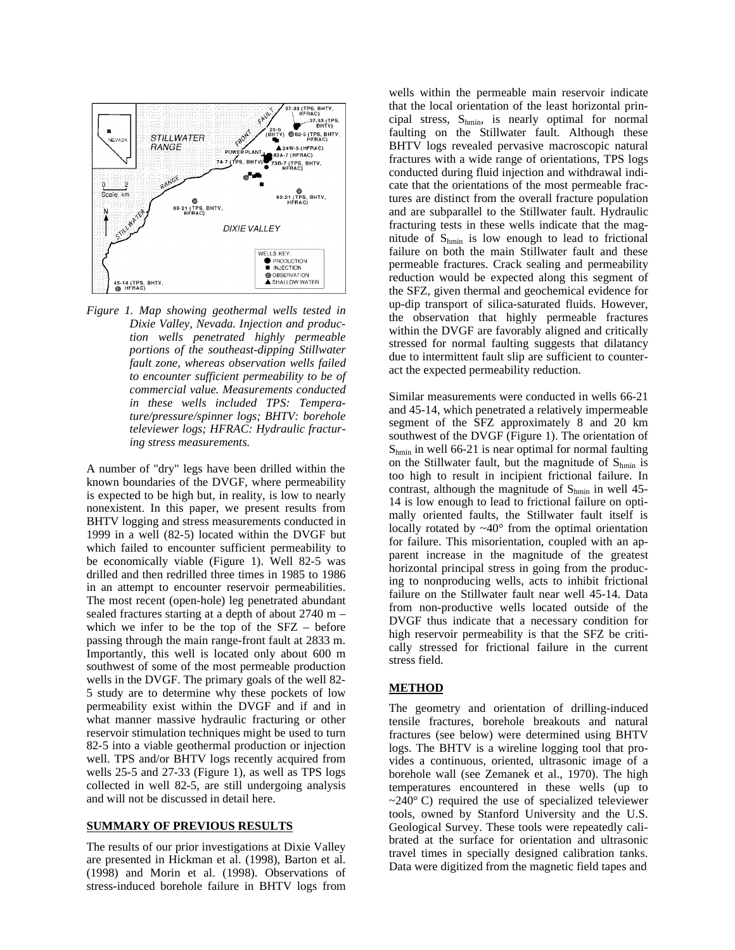

*Figure 1. Map showing geothermal wells tested in Dixie Valley, Nevada. Injection and production wells penetrated highly permeable portions of the southeast-dipping Stillwater fault zone, whereas observation wells failed to encounter sufficient permeability to be of commercial value. Measurements conducted in these wells included TPS: Temperature/pressure/spinner logs; BHTV: borehole televiewer logs; HFRAC: Hydraulic fracturing stress measurements.*

A number of "dry" legs have been drilled within the known boundaries of the DVGF, where permeability is expected to be high but, in reality, is low to nearly nonexistent. In this paper, we present results from BHTV logging and stress measurements conducted in 1999 in a well (82-5) located within the DVGF but which failed to encounter sufficient permeability to be economically viable (Figure 1). Well 82-5 was drilled and then redrilled three times in 1985 to 1986 in an attempt to encounter reservoir permeabilities. The most recent (open-hole) leg penetrated abundant sealed fractures starting at a depth of about 2740 m – which we infer to be the top of the SFZ – before passing through the main range-front fault at 2833 m. Importantly, this well is located only about 600 m southwest of some of the most permeable production wells in the DVGF. The primary goals of the well 82- 5 study are to determine why these pockets of low permeability exist within the DVGF and if and in what manner massive hydraulic fracturing or other reservoir stimulation techniques might be used to turn 82-5 into a viable geothermal production or injection well. TPS and/or BHTV logs recently acquired from wells 25-5 and 27-33 (Figure 1), as well as TPS logs collected in well 82-5, are still undergoing analysis and will not be discussed in detail here.

#### **SUMMARY OF PREVIOUS RESULTS**

The results of our prior investigations at Dixie Valley are presented in Hickman et al. (1998), Barton et al. (1998) and Morin et al. (1998). Observations of stress-induced borehole failure in BHTV logs from wells within the permeable main reservoir indicate that the local orientation of the least horizontal principal stress, Shmin, is nearly optimal for normal faulting on the Stillwater fault. Although these BHTV logs revealed pervasive macroscopic natural fractures with a wide range of orientations, TPS logs conducted during fluid injection and withdrawal indicate that the orientations of the most permeable fractures are distinct from the overall fracture population and are subparallel to the Stillwater fault. Hydraulic fracturing tests in these wells indicate that the magnitude of  $S_{hmin}$  is low enough to lead to frictional failure on both the main Stillwater fault and these permeable fractures. Crack sealing and permeability reduction would be expected along this segment of the SFZ, given thermal and geochemical evidence for up-dip transport of silica-saturated fluids. However, the observation that highly permeable fractures within the DVGF are favorably aligned and critically stressed for normal faulting suggests that dilatancy due to intermittent fault slip are sufficient to counteract the expected permeability reduction.

Similar measurements were conducted in wells 66-21 and 45-14, which penetrated a relatively impermeable segment of the SFZ approximately 8 and 20 km southwest of the DVGF (Figure 1). The orientation of  $S_{hmin}$  in well 66-21 is near optimal for normal faulting on the Stillwater fault, but the magnitude of  $S_{hmin}$  is too high to result in incipient frictional failure. In contrast, although the magnitude of  $S_{\text{hmin}}$  in well 45-14 is low enough to lead to frictional failure on optimally oriented faults, the Stillwater fault itself is locally rotated by  $\sim 40^\circ$  from the optimal orientation for failure. This misorientation, coupled with an apparent increase in the magnitude of the greatest horizontal principal stress in going from the producing to nonproducing wells, acts to inhibit frictional failure on the Stillwater fault near well 45-14. Data from non-productive wells located outside of the DVGF thus indicate that a necessary condition for high reservoir permeability is that the SFZ be critically stressed for frictional failure in the current stress field.

## **METHOD**

The geometry and orientation of drilling-induced tensile fractures, borehole breakouts and natural fractures (see below) were determined using BHTV logs. The BHTV is a wireline logging tool that provides a continuous, oriented, ultrasonic image of a borehole wall (see Zemanek et al., 1970). The high temperatures encountered in these wells (up to  $\sim$ 240 $\degree$  C) required the use of specialized televiewer tools, owned by Stanford University and the U.S. Geological Survey. These tools were repeatedly calibrated at the surface for orientation and ultrasonic travel times in specially designed calibration tanks. Data were digitized from the magnetic field tapes and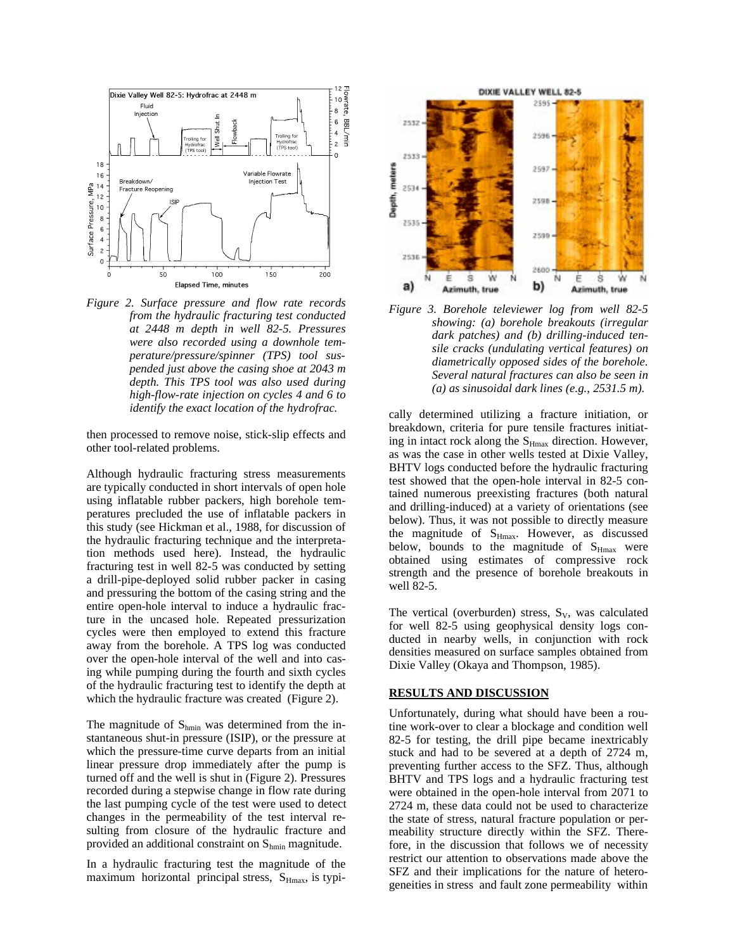

*Figure 2. Surface pressure and flow rate records from the hydraulic fracturing test conducted at 2448 m depth in well 82-5. Pressures were also recorded using a downhole temperature/pressure/spinner (TPS) tool suspended just above the casing shoe at 2043 m depth. This TPS tool was also used during high-flow-rate injection on cycles 4 and 6 to identify the exact location of the hydrofrac.*

then processed to remove noise, stick-slip effects and other tool-related problems.

Although hydraulic fracturing stress measurements are typically conducted in short intervals of open hole using inflatable rubber packers, high borehole temperatures precluded the use of inflatable packers in this study (see Hickman et al., 1988, for discussion of the hydraulic fracturing technique and the interpretation methods used here). Instead, the hydraulic fracturing test in well 82-5 was conducted by setting a drill-pipe-deployed solid rubber packer in casing and pressuring the bottom of the casing string and the entire open-hole interval to induce a hydraulic fracture in the uncased hole. Repeated pressurization cycles were then employed to extend this fracture away from the borehole. A TPS log was conducted over the open-hole interval of the well and into casing while pumping during the fourth and sixth cycles of the hydraulic fracturing test to identify the depth at which the hydraulic fracture was created (Figure 2).

The magnitude of  $S_{hmin}$  was determined from the instantaneous shut-in pressure (ISIP), or the pressure at which the pressure-time curve departs from an initial linear pressure drop immediately after the pump is turned off and the well is shut in (Figure 2). Pressures recorded during a stepwise change in flow rate during the last pumping cycle of the test were used to detect changes in the permeability of the test interval resulting from closure of the hydraulic fracture and provided an additional constraint on Shmin magnitude.

In a hydraulic fracturing test the magnitude of the maximum horizontal principal stress,  $S_{Hmax}$ , is typi-



*Figure 3. Borehole televiewer log from well 82-5 showing: (a) borehole breakouts (irregular dark patches) and (b) drilling-induced tensile cracks (undulating vertical features) on diametrically opposed sides of the borehole. Several natural fractures can also be seen in (a) as sinusoidal dark lines (e.g., 2531.5 m).*

cally determined utilizing a fracture initiation, or breakdown, criteria for pure tensile fractures initiating in intact rock along the S<sub>Hmax</sub> direction. However, as was the case in other wells tested at Dixie Valley, BHTV logs conducted before the hydraulic fracturing test showed that the open-hole interval in 82-5 contained numerous preexisting fractures (both natural and drilling-induced) at a variety of orientations (see below). Thus, it was not possible to directly measure the magnitude of  $S_{Hmax}$ . However, as discussed below, bounds to the magnitude of  $S_{Hmax}$  were obtained using estimates of compressive rock strength and the presence of borehole breakouts in well 82-5.

The vertical (overburden) stress,  $S_V$ , was calculated for well 82-5 using geophysical density logs conducted in nearby wells, in conjunction with rock densities measured on surface samples obtained from Dixie Valley (Okaya and Thompson, 1985).

### **RESULTS AND DISCUSSION**

Unfortunately, during what should have been a routine work-over to clear a blockage and condition well 82-5 for testing, the drill pipe became inextricably stuck and had to be severed at a depth of 2724 m, preventing further access to the SFZ. Thus, although BHTV and TPS logs and a hydraulic fracturing test were obtained in the open-hole interval from 2071 to 2724 m, these data could not be used to characterize the state of stress, natural fracture population or permeability structure directly within the SFZ. Therefore, in the discussion that follows we of necessity restrict our attention to observations made above the SFZ and their implications for the nature of heterogeneities in stress and fault zone permeability within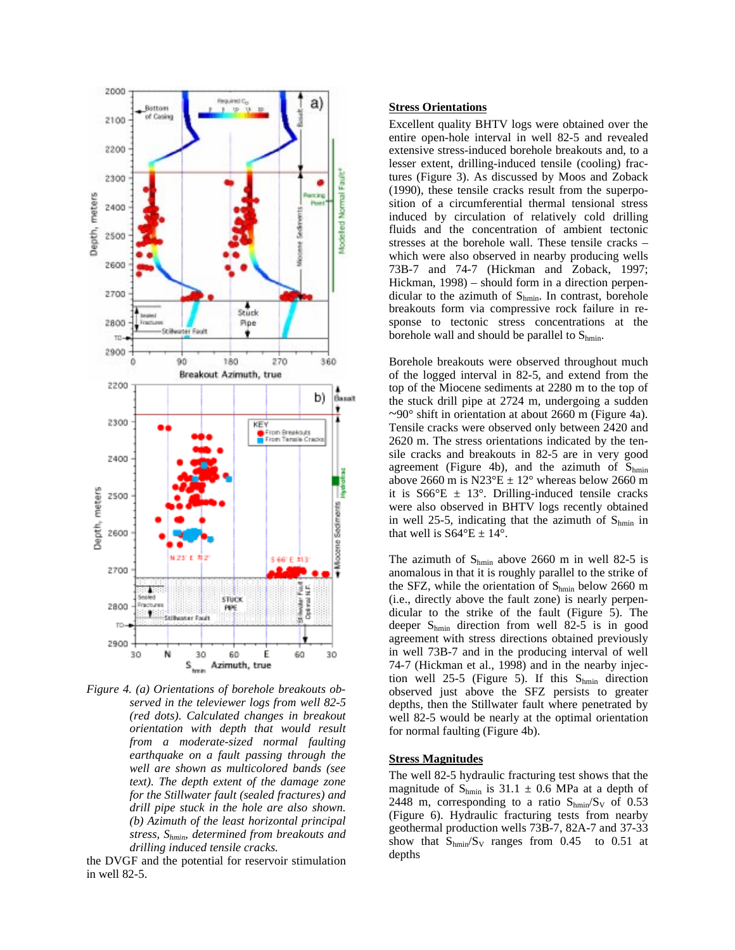

*Figure 4. (a) Orientations of borehole breakouts observed in the televiewer logs from well 82-5 (red dots). Calculated changes in breakout orientation with depth that would result from a moderate-sized normal faulting earthquake on a fault passing through the well are shown as multicolored bands (see text). The depth extent of the damage zone for the Stillwater fault (sealed fractures) and drill pipe stuck in the hole are also shown. (b) Azimuth of the least horizontal principal stress, Shmin, determined from breakouts and drilling induced tensile cracks.*

the DVGF and the potential for reservoir stimulation in well 82-5.

# **Stress Orientations**

Excellent quality BHTV logs were obtained over the entire open-hole interval in well 82-5 and revealed extensive stress-induced borehole breakouts and, to a lesser extent, drilling-induced tensile (cooling) fractures (Figure 3). As discussed by Moos and Zoback (1990), these tensile cracks result from the superposition of a circumferential thermal tensional stress induced by circulation of relatively cold drilling fluids and the concentration of ambient tectonic stresses at the borehole wall. These tensile cracks – which were also observed in nearby producing wells 73B-7 and 74-7 (Hickman and Zoback, 1997; Hickman, 1998) – should form in a direction perpendicular to the azimuth of  $S_{hmin}$ . In contrast, borehole breakouts form via compressive rock failure in response to tectonic stress concentrations at the borehole wall and should be parallel to  $S_{hmin}$ .

Borehole breakouts were observed throughout much of the logged interval in 82-5, and extend from the top of the Miocene sediments at 2280 m to the top of the stuck drill pipe at 2724 m, undergoing a sudden  $\sim$ 90° shift in orientation at about 2660 m (Figure 4a). Tensile cracks were observed only between 2420 and 2620 m. The stress orientations indicated by the tensile cracks and breakouts in 82-5 are in very good agreement (Figure 4b), and the azimuth of  $S_{hmin}$ above 2660 m is  $N23^{\circ}E \pm 12^{\circ}$  whereas below 2660 m it is  $S66^{\circ}E \pm 13^{\circ}$ . Drilling-induced tensile cracks were also observed in BHTV logs recently obtained in well 25-5, indicating that the azimuth of  $S_{hmin}$  in that well is  $S64^{\circ}E \pm 14^{\circ}$ .

The azimuth of  $S_{\text{hmin}}$  above 2660 m in well 82-5 is anomalous in that it is roughly parallel to the strike of the SFZ, while the orientation of  $S_{\text{hmin}}$  below 2660 m (i.e., directly above the fault zone) is nearly perpendicular to the strike of the fault (Figure 5). The deeper Shmin direction from well 82-5 is in good agreement with stress directions obtained previously in well 73B-7 and in the producing interval of well 74-7 (Hickman et al., 1998) and in the nearby injection well 25-5 (Figure 5). If this  $S_{hmin}$  direction observed just above the SFZ persists to greater depths, then the Stillwater fault where penetrated by well 82-5 would be nearly at the optimal orientation for normal faulting (Figure 4b).

#### **Stress Magnitudes**

The well 82-5 hydraulic fracturing test shows that the magnitude of  $S_{\text{hmin}}$  is 31.1  $\pm$  0.6 MPa at a depth of 2448 m, corresponding to a ratio  $S_{hmin}/S_V$  of 0.53 (Figure 6). Hydraulic fracturing tests from nearby geothermal production wells 73B-7, 82A-7 and 37-33 show that  $S_{\text{hmin}}/S_{\text{V}}$  ranges from 0.45 to 0.51 at depths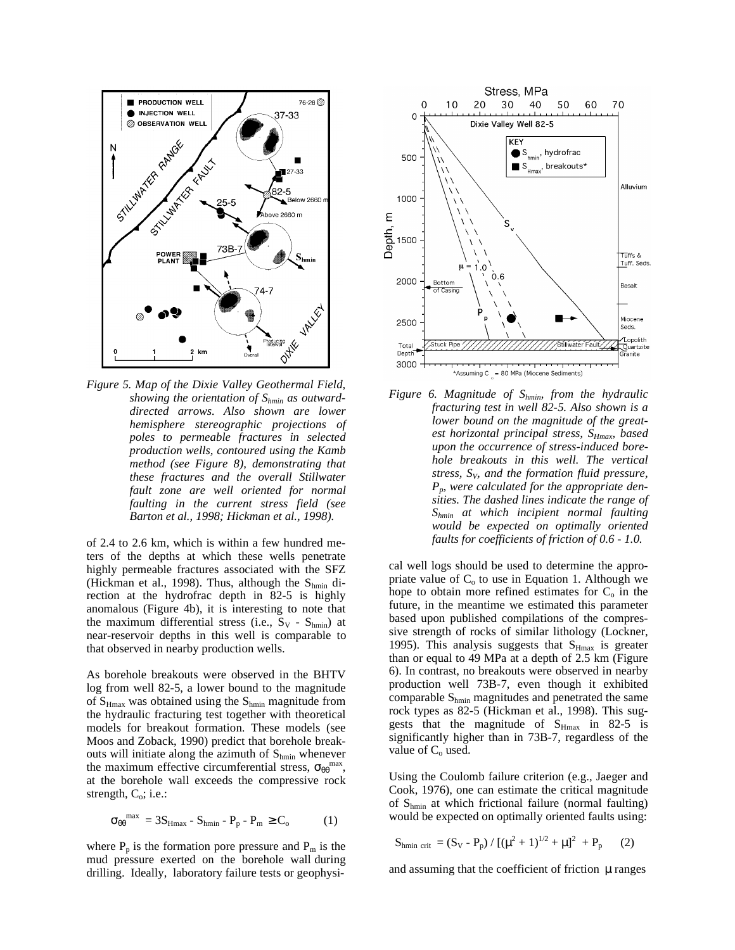

*Figure 5. Map of the Dixie Valley Geothermal Field, showing the orientation of Shmin as outwarddirected arrows. Also shown are lower hemisphere stereographic projections of poles to permeable fractures in selected production wells, contoured using the Kamb method (see Figure 8), demonstrating that these fractures and the overall Stillwater fault zone are well oriented for normal faulting in the current stress field (see Barton et al., 1998; Hickman et al., 1998).*

of 2.4 to 2.6 km, which is within a few hundred meters of the depths at which these wells penetrate highly permeable fractures associated with the SFZ (Hickman et al., 1998). Thus, although the  $S_{\text{hmin}}$  direction at the hydrofrac depth in 82-5 is highly anomalous (Figure 4b), it is interesting to note that the maximum differential stress (i.e.,  $S_V - S_{hmin}$ ) at near-reservoir depths in this well is comparable to that observed in nearby production wells.

As borehole breakouts were observed in the BHTV log from well 82-5, a lower bound to the magnitude of  $S_{Hmax}$  was obtained using the  $S_{hmin}$  magnitude from the hydraulic fracturing test together with theoretical models for breakout formation. These models (see Moos and Zoback, 1990) predict that borehole breakouts will initiate along the azimuth of  $S_{\text{hmin}}$  whenever the maximum effective circumferential stress,  $\sigma_{\theta\theta}^{max}$ , at the borehole wall exceeds the compressive rock strength,  $C_0$ ; i.e.:

$$
\sigma_{\theta\theta}^{\max} = 3S_{Hmax} - S_{hmin} - P_p - P_m \ge C_0 \tag{1}
$$

where  $P_p$  is the formation pore pressure and  $P_m$  is the mud pressure exerted on the borehole wall during drilling. Ideally, laboratory failure tests or geophysi-



*Figure 6. Magnitude of Shmin, from the hydraulic fracturing test in well 82-5. Also shown is a lower bound on the magnitude of the greatest horizontal principal stress, SHmax, based upon the occurrence of stress-induced borehole breakouts in this well. The vertical stress, SV, and the formation fluid pressure, Pp, were calculated for the appropriate densities. The dashed lines indicate the range of Shmin at which incipient normal faulting would be expected on optimally oriented faults for coefficients of friction of 0.6 - 1.0.*

cal well logs should be used to determine the appropriate value of  $C_0$  to use in Equation 1. Although we hope to obtain more refined estimates for  $C<sub>o</sub>$  in the future, in the meantime we estimated this parameter based upon published compilations of the compressive strength of rocks of similar lithology (Lockner, 1995). This analysis suggests that  $S_{Hmax}$  is greater than or equal to 49 MPa at a depth of 2.5 km (Figure 6). In contrast, no breakouts were observed in nearby production well 73B-7, even though it exhibited comparable S<sub>hmin</sub> magnitudes and penetrated the same rock types as 82-5 (Hickman et al., 1998). This suggests that the magnitude of  $S_{Hmax}$  in 82-5 is significantly higher than in 73B-7, regardless of the value of C<sub>o</sub> used.

Using the Coulomb failure criterion (e.g., Jaeger and Cook, 1976), one can estimate the critical magnitude of  $S_{\text{hmin}}$  at which frictional failure (normal faulting) would be expected on optimally oriented faults using:

$$
S_{hmin \ crit} = (S_V - P_p) / [( \mu^2 + 1)^{1/2} + \mu ]^2 + P_p \qquad (2)
$$

and assuming that the coefficient of friction  $\mu$  ranges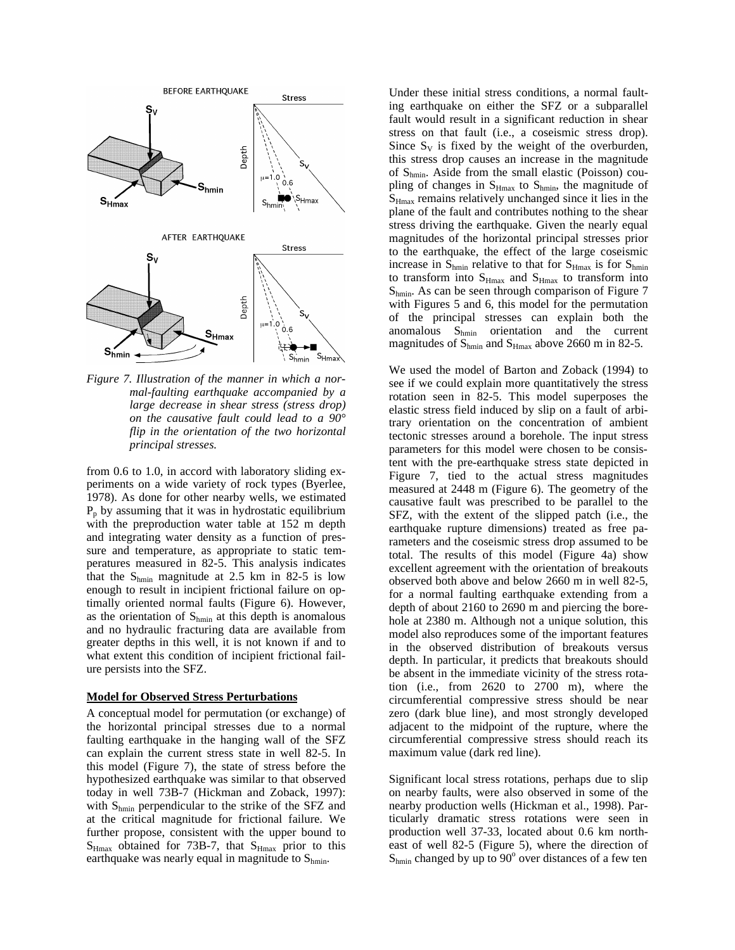

*Figure 7. Illustration of the manner in which a normal-faulting earthquake accompanied by a large decrease in shear stress (stress drop) on the causative fault could lead to a 90° flip in the orientation of the two horizontal principal stresses.*

from 0.6 to 1.0, in accord with laboratory sliding experiments on a wide variety of rock types (Byerlee, 1978). As done for other nearby wells, we estimated  $P_p$  by assuming that it was in hydrostatic equilibrium with the preproduction water table at 152 m depth and integrating water density as a function of pressure and temperature, as appropriate to static temperatures measured in 82-5. This analysis indicates that the  $S_{\text{hmin}}$  magnitude at 2.5 km in 82-5 is low enough to result in incipient frictional failure on optimally oriented normal faults (Figure 6). However, as the orientation of  $S_{hmin}$  at this depth is anomalous and no hydraulic fracturing data are available from greater depths in this well, it is not known if and to what extent this condition of incipient frictional failure persists into the SFZ.

### **Model for Observed Stress Perturbations**

A conceptual model for permutation (or exchange) of the horizontal principal stresses due to a normal faulting earthquake in the hanging wall of the SFZ can explain the current stress state in well 82-5. In this model (Figure 7), the state of stress before the hypothesized earthquake was similar to that observed today in well 73B-7 (Hickman and Zoback, 1997): with  $S_{hmin}$  perpendicular to the strike of the SFZ and at the critical magnitude for frictional failure. We further propose, consistent with the upper bound to  $S_{Hmax}$  obtained for 73B-7, that  $S_{Hmax}$  prior to this earthquake was nearly equal in magnitude to  $S_{hmin}$ .

Under these initial stress conditions, a normal faulting earthquake on either the SFZ or a subparallel fault would result in a significant reduction in shear stress on that fault (i.e., a coseismic stress drop). Since  $S_V$  is fixed by the weight of the overburden, this stress drop causes an increase in the magnitude of  $S_{\text{hmin}}$ . Aside from the small elastic (Poisson) coupling of changes in  $S_{Hmax}$  to  $S_{hmin}$ , the magnitude of  $S<sub>Hmax</sub>$  remains relatively unchanged since it lies in the plane of the fault and contributes nothing to the shear stress driving the earthquake. Given the nearly equal magnitudes of the horizontal principal stresses prior to the earthquake, the effect of the large coseismic increase in  $S_{\text{hmin}}$  relative to that for  $S_{\text{Hmax}}$  is for  $S_{\text{hmin}}$ to transform into  $S_{Hmax}$  and  $S_{Hmax}$  to transform into  $S_{\text{hmin}}$ . As can be seen through comparison of Figure 7 with Figures 5 and 6, this model for the permutation of the principal stresses can explain both the anomalous  $S_{hmin}$  orientation and the current magnitudes of  $S_{hmin}$  and  $S_{Hmax}$  above 2660 m in 82-5.

We used the model of Barton and Zoback (1994) to see if we could explain more quantitatively the stress rotation seen in 82-5. This model superposes the elastic stress field induced by slip on a fault of arbitrary orientation on the concentration of ambient tectonic stresses around a borehole. The input stress parameters for this model were chosen to be consistent with the pre-earthquake stress state depicted in Figure 7, tied to the actual stress magnitudes measured at 2448 m (Figure 6). The geometry of the causative fault was prescribed to be parallel to the SFZ, with the extent of the slipped patch (i.e., the earthquake rupture dimensions) treated as free parameters and the coseismic stress drop assumed to be total. The results of this model (Figure 4a) show excellent agreement with the orientation of breakouts observed both above and below 2660 m in well 82-5, for a normal faulting earthquake extending from a depth of about 2160 to 2690 m and piercing the borehole at 2380 m. Although not a unique solution, this model also reproduces some of the important features in the observed distribution of breakouts versus depth. In particular, it predicts that breakouts should be absent in the immediate vicinity of the stress rotation (i.e., from 2620 to 2700 m), where the circumferential compressive stress should be near zero (dark blue line), and most strongly developed adjacent to the midpoint of the rupture, where the circumferential compressive stress should reach its maximum value (dark red line).

Significant local stress rotations, perhaps due to slip on nearby faults, were also observed in some of the nearby production wells (Hickman et al., 1998). Particularly dramatic stress rotations were seen in production well 37-33, located about 0.6 km northeast of well 82-5 (Figure 5), where the direction of  $S_{\text{hmin}}$  changed by up to 90 $^{\circ}$  over distances of a few ten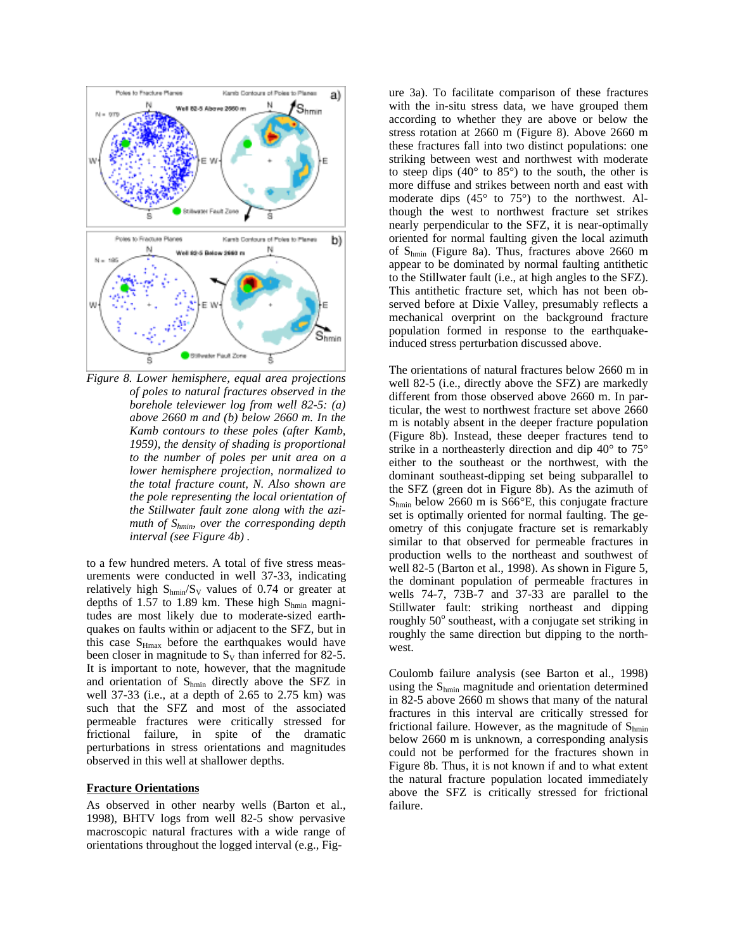

*Figure 8. Lower hemisphere, equal area projections of poles to natural fractures observed in the borehole televiewer log from well 82-5: (a) above 2660 m and (b) below 2660 m. In the Kamb contours to these poles (after Kamb, 1959), the density of shading is proportional to the number of poles per unit area on a lower hemisphere projection, normalized to the total fracture count, N. Also shown are the pole representing the local orientation of the Stillwater fault zone along with the azimuth of Shmin, over the corresponding depth interval (see Figure 4b) .*

to a few hundred meters. A total of five stress measurements were conducted in well 37-33, indicating relatively high  $S_{\text{hmin}}/S_V$  values of 0.74 or greater at depths of 1.57 to 1.89 km. These high  $S_{\text{hmin}}$  magnitudes are most likely due to moderate-sized earthquakes on faults within or adjacent to the SFZ, but in this case  $S_{Hmax}$  before the earthquakes would have been closer in magnitude to  $S_V$  than inferred for 82-5. It is important to note, however, that the magnitude and orientation of Shmin directly above the SFZ in well 37-33 (i.e., at a depth of 2.65 to 2.75 km) was such that the SFZ and most of the associated permeable fractures were critically stressed for frictional failure, in spite of the dramatic perturbations in stress orientations and magnitudes observed in this well at shallower depths.

#### **Fracture Orientations**

As observed in other nearby wells (Barton et al., 1998), BHTV logs from well 82-5 show pervasive macroscopic natural fractures with a wide range of orientations throughout the logged interval (e.g., Figure 3a). To facilitate comparison of these fractures with the in-situ stress data, we have grouped them according to whether they are above or below the stress rotation at 2660 m (Figure 8). Above 2660 m these fractures fall into two distinct populations: one striking between west and northwest with moderate to steep dips  $(40^{\circ}$  to  $85^{\circ})$  to the south, the other is more diffuse and strikes between north and east with moderate dips (45° to 75°) to the northwest. Although the west to northwest fracture set strikes nearly perpendicular to the SFZ, it is near-optimally oriented for normal faulting given the local azimuth of  $S_{\text{hmin}}$  (Figure 8a). Thus, fractures above 2660 m appear to be dominated by normal faulting antithetic to the Stillwater fault (i.e., at high angles to the SFZ). This antithetic fracture set, which has not been observed before at Dixie Valley, presumably reflects a mechanical overprint on the background fracture population formed in response to the earthquakeinduced stress perturbation discussed above.

The orientations of natural fractures below 2660 m in well 82-5 (i.e., directly above the SFZ) are markedly different from those observed above 2660 m. In particular, the west to northwest fracture set above 2660 m is notably absent in the deeper fracture population (Figure 8b). Instead, these deeper fractures tend to strike in a northeasterly direction and dip 40° to 75° either to the southeast or the northwest, with the dominant southeast-dipping set being subparallel to the SFZ (green dot in Figure 8b). As the azimuth of  $S_{\text{hmin}}$  below 2660 m is S66 $\textdegree$ E, this conjugate fracture set is optimally oriented for normal faulting. The geometry of this conjugate fracture set is remarkably similar to that observed for permeable fractures in production wells to the northeast and southwest of well 82-5 (Barton et al., 1998). As shown in Figure 5, the dominant population of permeable fractures in wells 74-7, 73B-7 and 37-33 are parallel to the Stillwater fault: striking northeast and dipping roughly  $50^\circ$  southeast, with a conjugate set striking in roughly the same direction but dipping to the northwest.

Coulomb failure analysis (see Barton et al., 1998) using the  $S_{hmin}$  magnitude and orientation determined in 82-5 above 2660 m shows that many of the natural fractures in this interval are critically stressed for frictional failure. However, as the magnitude of  $S_{hmin}$ below 2660 m is unknown, a corresponding analysis could not be performed for the fractures shown in Figure 8b. Thus, it is not known if and to what extent the natural fracture population located immediately above the SFZ is critically stressed for frictional failure.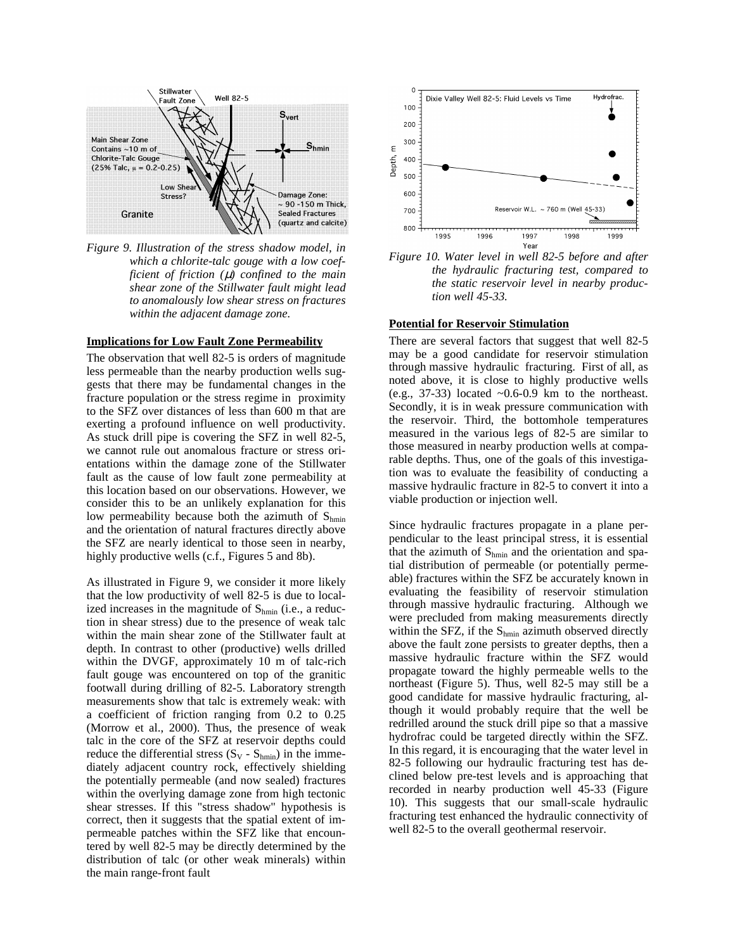

*Figure 9. Illustration of the stress shadow model, in which a chlorite-talc gouge with a low coefficient of friction (*µ*) confined to the main shear zone of the Stillwater fault might lead to anomalously low shear stress on fractures within the adjacent damage zone.*

#### **Implications for Low Fault Zone Permeability**

The observation that well 82-5 is orders of magnitude less permeable than the nearby production wells suggests that there may be fundamental changes in the fracture population or the stress regime in proximity to the SFZ over distances of less than 600 m that are exerting a profound influence on well productivity. As stuck drill pipe is covering the SFZ in well 82-5, we cannot rule out anomalous fracture or stress orientations within the damage zone of the Stillwater fault as the cause of low fault zone permeability at this location based on our observations. However, we consider this to be an unlikely explanation for this low permeability because both the azimuth of  $S_{hmin}$ and the orientation of natural fractures directly above the SFZ are nearly identical to those seen in nearby, highly productive wells (c.f., Figures 5 and 8b).

As illustrated in Figure 9, we consider it more likely that the low productivity of well 82-5 is due to localized increases in the magnitude of  $S_{hmin}$  (i.e., a reduction in shear stress) due to the presence of weak talc within the main shear zone of the Stillwater fault at depth. In contrast to other (productive) wells drilled within the DVGF, approximately 10 m of talc-rich fault gouge was encountered on top of the granitic footwall during drilling of 82-5. Laboratory strength measurements show that talc is extremely weak: with a coefficient of friction ranging from 0.2 to 0.25 (Morrow et al., 2000). Thus, the presence of weak talc in the core of the SFZ at reservoir depths could reduce the differential stress  $(S_V - S_{hmin})$  in the immediately adjacent country rock, effectively shielding the potentially permeable (and now sealed) fractures within the overlying damage zone from high tectonic shear stresses. If this "stress shadow" hypothesis is correct, then it suggests that the spatial extent of impermeable patches within the SFZ like that encountered by well 82-5 may be directly determined by the distribution of talc (or other weak minerals) within the main range-front fault



*Figure 10. Water level in well 82-5 before and after the hydraulic fracturing test, compared to the static reservoir level in nearby production well 45-33.*

#### **Potential for Reservoir Stimulation**

There are several factors that suggest that well 82-5 may be a good candidate for reservoir stimulation through massive hydraulic fracturing. First of all, as noted above, it is close to highly productive wells (e.g., 37-33) located  $~0.6-0.9$  km to the northeast. Secondly, it is in weak pressure communication with the reservoir. Third, the bottomhole temperatures measured in the various legs of 82-5 are similar to those measured in nearby production wells at comparable depths. Thus, one of the goals of this investigation was to evaluate the feasibility of conducting a massive hydraulic fracture in 82-5 to convert it into a viable production or injection well.

Since hydraulic fractures propagate in a plane perpendicular to the least principal stress, it is essential that the azimuth of  $S_{hmin}$  and the orientation and spatial distribution of permeable (or potentially permeable) fractures within the SFZ be accurately known in evaluating the feasibility of reservoir stimulation through massive hydraulic fracturing. Although we were precluded from making measurements directly within the SFZ, if the  $S_{hmin}$  azimuth observed directly above the fault zone persists to greater depths, then a massive hydraulic fracture within the SFZ would propagate toward the highly permeable wells to the northeast (Figure 5). Thus, well 82-5 may still be a good candidate for massive hydraulic fracturing, although it would probably require that the well be redrilled around the stuck drill pipe so that a massive hydrofrac could be targeted directly within the SFZ. In this regard, it is encouraging that the water level in 82-5 following our hydraulic fracturing test has declined below pre-test levels and is approaching that recorded in nearby production well 45-33 (Figure 10). This suggests that our small-scale hydraulic fracturing test enhanced the hydraulic connectivity of well 82-5 to the overall geothermal reservoir.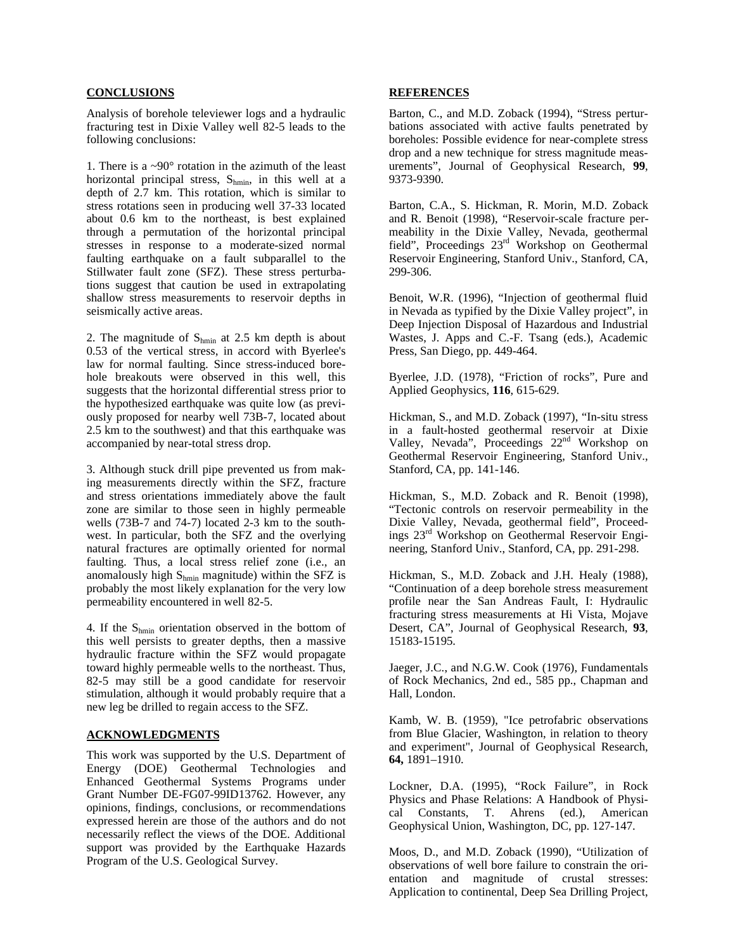# **CONCLUSIONS**

Analysis of borehole televiewer logs and a hydraulic fracturing test in Dixie Valley well 82-5 leads to the following conclusions:

1. There is a ~90° rotation in the azimuth of the least horizontal principal stress,  $S_{\text{hmin}}$ , in this well at a depth of 2.7 km. This rotation, which is similar to stress rotations seen in producing well 37-33 located about 0.6 km to the northeast, is best explained through a permutation of the horizontal principal stresses in response to a moderate-sized normal faulting earthquake on a fault subparallel to the Stillwater fault zone (SFZ). These stress perturbations suggest that caution be used in extrapolating shallow stress measurements to reservoir depths in seismically active areas.

2. The magnitude of  $S_{\text{hmin}}$  at 2.5 km depth is about 0.53 of the vertical stress, in accord with Byerlee's law for normal faulting. Since stress-induced borehole breakouts were observed in this well, this suggests that the horizontal differential stress prior to the hypothesized earthquake was quite low (as previously proposed for nearby well 73B-7, located about 2.5 km to the southwest) and that this earthquake was accompanied by near-total stress drop.

3. Although stuck drill pipe prevented us from making measurements directly within the SFZ, fracture and stress orientations immediately above the fault zone are similar to those seen in highly permeable wells (73B-7 and 74-7) located 2-3 km to the southwest. In particular, both the SFZ and the overlying natural fractures are optimally oriented for normal faulting. Thus, a local stress relief zone (i.e., an anomalously high  $S_{\text{hmin}}$  magnitude) within the SFZ is probably the most likely explanation for the very low permeability encountered in well 82-5.

4. If the Shmin orientation observed in the bottom of this well persists to greater depths, then a massive hydraulic fracture within the SFZ would propagate toward highly permeable wells to the northeast. Thus, 82-5 may still be a good candidate for reservoir stimulation, although it would probably require that a new leg be drilled to regain access to the SFZ.

## **ACKNOWLEDGMENTS**

This work was supported by the U.S. Department of Energy (DOE) Geothermal Technologies and Enhanced Geothermal Systems Programs under Grant Number DE-FG07-99ID13762. However, any opinions, findings, conclusions, or recommendations expressed herein are those of the authors and do not necessarily reflect the views of the DOE. Additional support was provided by the Earthquake Hazards Program of the U.S. Geological Survey.

## **REFERENCES**

Barton, C., and M.D. Zoback (1994), "Stress perturbations associated with active faults penetrated by boreholes: Possible evidence for near-complete stress drop and a new technique for stress magnitude measurements", Journal of Geophysical Research, **99**, 9373-9390.

Barton, C.A., S. Hickman, R. Morin, M.D. Zoback and R. Benoit (1998), "Reservoir-scale fracture permeability in the Dixie Valley, Nevada, geothermal field", Proceedings 23rd Workshop on Geothermal Reservoir Engineering, Stanford Univ., Stanford, CA, 299-306.

Benoit, W.R. (1996), "Injection of geothermal fluid in Nevada as typified by the Dixie Valley project", in Deep Injection Disposal of Hazardous and Industrial Wastes, J. Apps and C.-F. Tsang (eds.), Academic Press, San Diego, pp. 449-464.

Byerlee, J.D. (1978), "Friction of rocks", Pure and Applied Geophysics, **116**, 615-629.

Hickman, S., and M.D. Zoback (1997), "In-situ stress in a fault-hosted geothermal reservoir at Dixie Valley, Nevada", Proceedings 22<sup>nd</sup> Workshop on Geothermal Reservoir Engineering, Stanford Univ., Stanford, CA, pp. 141-146.

Hickman, S., M.D. Zoback and R. Benoit (1998), "Tectonic controls on reservoir permeability in the Dixie Valley, Nevada, geothermal field", Proceedings 23rd Workshop on Geothermal Reservoir Engineering, Stanford Univ., Stanford, CA, pp. 291-298.

Hickman, S., M.D. Zoback and J.H. Healy (1988), "Continuation of a deep borehole stress measurement profile near the San Andreas Fault, I: Hydraulic fracturing stress measurements at Hi Vista, Mojave Desert, CA", Journal of Geophysical Research, **93**, 15183-15195.

Jaeger, J.C., and N.G.W. Cook (1976), Fundamentals of Rock Mechanics, 2nd ed., 585 pp., Chapman and Hall, London.

Kamb, W. B. (1959), "Ice petrofabric observations from Blue Glacier, Washington, in relation to theory and experiment", Journal of Geophysical Research, **64,** 1891–1910.

Lockner, D.A. (1995), "Rock Failure", in Rock Physics and Phase Relations: A Handbook of Physical Constants, T. Ahrens (ed.), American Geophysical Union, Washington, DC, pp. 127-147.

Moos, D., and M.D. Zoback (1990), "Utilization of observations of well bore failure to constrain the orientation and magnitude of crustal stresses: Application to continental, Deep Sea Drilling Project,